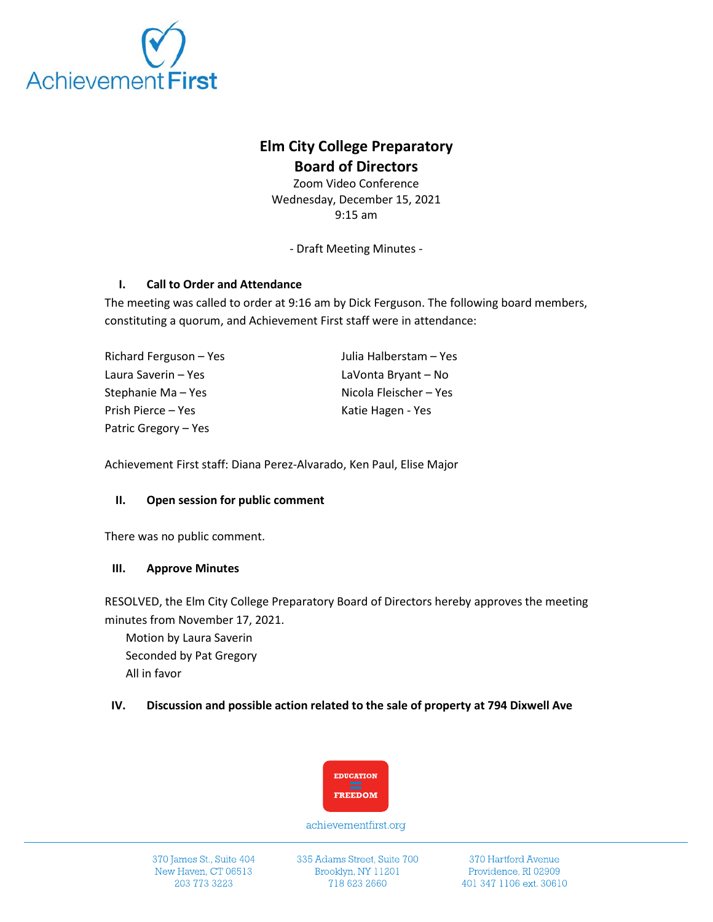

# **Elm City College Preparatory Board of Directors**

Zoom Video Conference Wednesday, December 15, 2021 9:15 am

- Draft Meeting Minutes -

## **I. Call to Order and Attendance**

The meeting was called to order at 9:16 am by Dick Ferguson. The following board members, constituting a quorum, and Achievement First staff were in attendance:

| Richard Ferguson – Yes | Julia Halberstam - Yes |
|------------------------|------------------------|
| Laura Saverin – Yes    | LaVonta Bryant – No    |
| Stephanie Ma – Yes     | Nicola Fleischer – Yes |
| Prish Pierce – Yes     | Katie Hagen - Yes      |
| Patric Gregory – Yes   |                        |

Achievement First staff: Diana Perez-Alvarado, Ken Paul, Elise Major

### **II. Open session for public comment**

There was no public comment.

### **III. Approve Minutes**

RESOLVED, the Elm City College Preparatory Board of Directors hereby approves the meeting minutes from November 17, 2021.

Motion by Laura Saverin Seconded by Pat Gregory All in favor

## **IV. Discussion and possible action related to the sale of property at 794 Dixwell Ave**



achievementfirst.org

335 Adams Street, Suite 700 Brooklyn, NY 11201 718 623 2660

370 Hartford Avenue Providence, RI 02909 401 347 1106 ext. 30610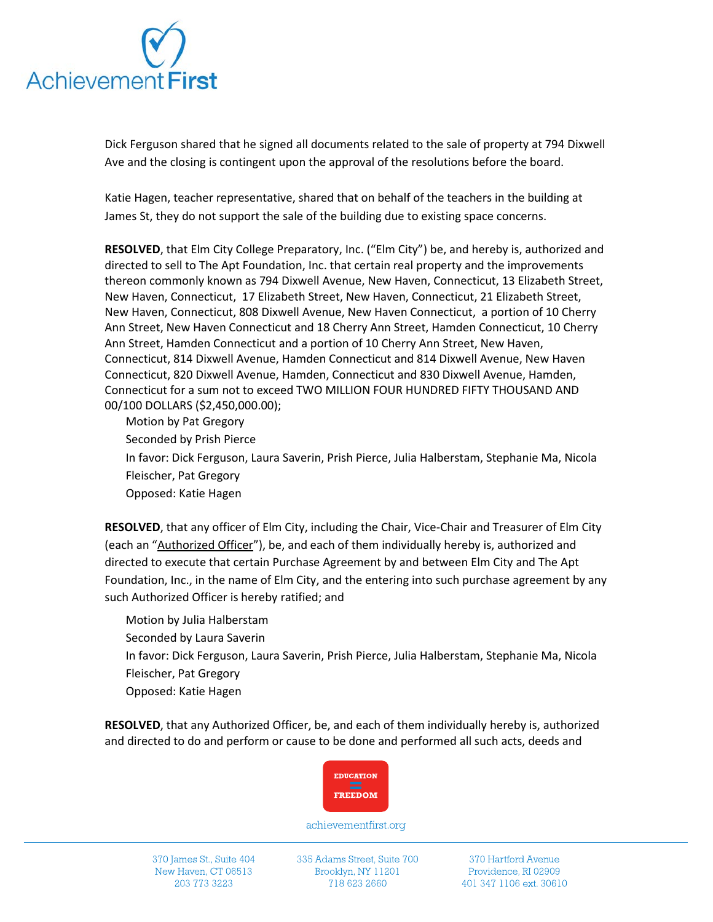

Dick Ferguson shared that he signed all documents related to the sale of property at 794 Dixwell Ave and the closing is contingent upon the approval of the resolutions before the board.

Katie Hagen, teacher representative, shared that on behalf of the teachers in the building at James St, they do not support the sale of the building due to existing space concerns.

**RESOLVED**, that Elm City College Preparatory, Inc. ("Elm City") be, and hereby is, authorized and directed to sell to The Apt Foundation, Inc. that certain real property and the improvements thereon commonly known as 794 Dixwell Avenue, New Haven, Connecticut, 13 Elizabeth Street, New Haven, Connecticut, 17 Elizabeth Street, New Haven, Connecticut, 21 Elizabeth Street, New Haven, Connecticut, 808 Dixwell Avenue, New Haven Connecticut, a portion of 10 Cherry Ann Street, New Haven Connecticut and 18 Cherry Ann Street, Hamden Connecticut, 10 Cherry Ann Street, Hamden Connecticut and a portion of 10 Cherry Ann Street, New Haven, Connecticut, 814 Dixwell Avenue, Hamden Connecticut and 814 Dixwell Avenue, New Haven Connecticut, 820 Dixwell Avenue, Hamden, Connecticut and 830 Dixwell Avenue, Hamden, Connecticut for a sum not to exceed TWO MILLION FOUR HUNDRED FIFTY THOUSAND AND 00/100 DOLLARS (\$2,450,000.00);

Motion by Pat Gregory Seconded by Prish Pierce In favor: Dick Ferguson, Laura Saverin, Prish Pierce, Julia Halberstam, Stephanie Ma, Nicola Fleischer, Pat Gregory Opposed: Katie Hagen

**RESOLVED**, that any officer of Elm City, including the Chair, Vice-Chair and Treasurer of Elm City (each an "Authorized Officer"), be, and each of them individually hereby is, authorized and directed to execute that certain Purchase Agreement by and between Elm City and The Apt Foundation, Inc., in the name of Elm City, and the entering into such purchase agreement by any such Authorized Officer is hereby ratified; and

Motion by Julia Halberstam Seconded by Laura Saverin In favor: Dick Ferguson, Laura Saverin, Prish Pierce, Julia Halberstam, Stephanie Ma, Nicola Fleischer, Pat Gregory Opposed: Katie Hagen

**RESOLVED**, that any Authorized Officer, be, and each of them individually hereby is, authorized and directed to do and perform or cause to be done and performed all such acts, deeds and



achievementfirst.org

370 James St., Suite 404 New Haven, CT 06513 203 773 3223

335 Adams Street, Suite 700 Brooklyn, NY 11201 718 623 2660

370 Hartford Avenue Providence, RI 02909 401 347 1106 ext. 30610